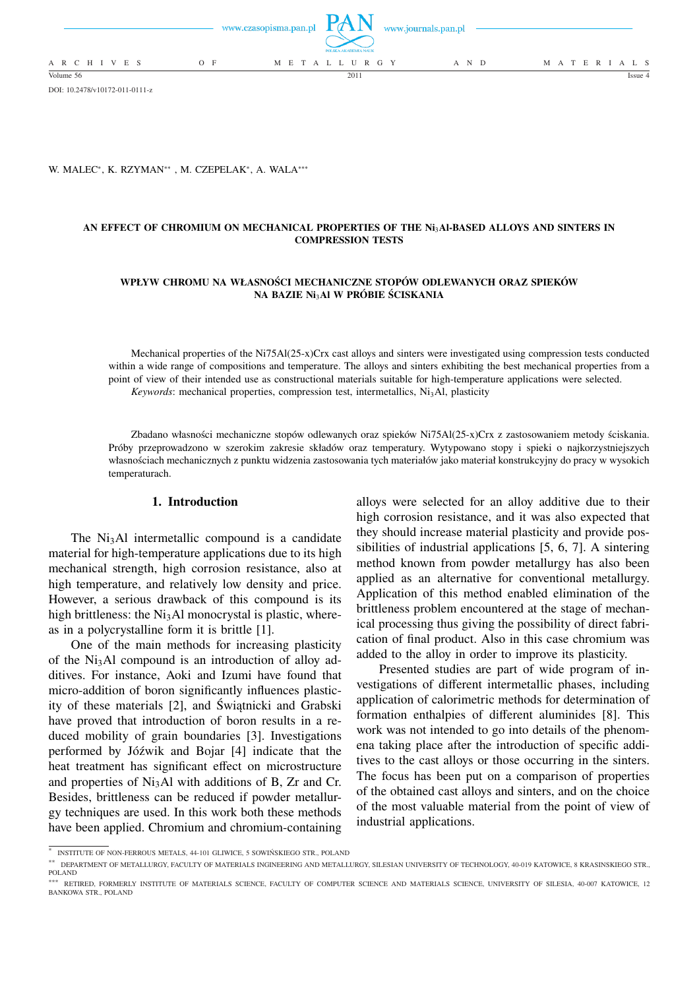|                          | www.czasopisma.pan.pl $\Box$ $($ $\Box$ $\Box$ $\Box$ | www.journals.pan.pl<br>POLSKA AKADEMIA NAUK |       |                   |
|--------------------------|-------------------------------------------------------|---------------------------------------------|-------|-------------------|
| A R C H I V E S<br>$O$ F |                                                       | M E T A L L U R G Y                         | A N D | M A T E R I A L S |
| Volume 56                |                                                       | 2011                                        |       | Issue 4           |

DOI: 10.2478/v10172-011-0111-z

### W. MALEC\*, K. RZYMAN\*\*, M. CZEPELAK\*, A. WALA\*\*\*

# **AN EFFECT OF CHROMIUM ON MECHANICAL PROPERTIES OF THE Ni**3**Al-BASED ALLOYS AND SINTERS IN COMPRESSION TESTS**

# **WPŁYW CHROMU NA WŁASNOŚCI MECHANICZNE STOPÓW ODLEWANYCH ORAZ SPIEKÓW NA BAZIE Ni**3**Al W PRÓBIE ŚCISKANIA**

Mechanical properties of the Ni75Al(25-x)Crx cast alloys and sinters were investigated using compression tests conducted within a wide range of compositions and temperature. The alloys and sinters exhibiting the best mechanical properties from a point of view of their intended use as constructional materials suitable for high-temperature applications were selected. *Keywords*: mechanical properties, compression test, intermetallics, Ni<sub>3</sub>Al, plasticity

Zbadano własności mechaniczne stopów odlewanych oraz spieków Ni75Al(25-x)Crx z zastosowaniem metody ściskania. Próby przeprowadzono w szerokim zakresie składów oraz temperatury. Wytypowano stopy i spieki o najkorzystniejszych własnościach mechanicznych z punktu widzenia zastosowania tych materiałów jako materiał konstrukcyjny do pracy w wysokich temperaturach.

# **1. Introduction**

The Ni<sub>3</sub>Al intermetallic compound is a candidate material for high-temperature applications due to its high mechanical strength, high corrosion resistance, also at high temperature, and relatively low density and price. However, a serious drawback of this compound is its high brittleness: the  $Ni<sub>3</sub>Al$  monocrystal is plastic, whereas in a polycrystalline form it is brittle [1].

One of the main methods for increasing plasticity of the  $Ni<sub>3</sub>Al$  compound is an introduction of alloy additives. For instance, Aoki and Izumi have found that micro-addition of boron significantly influences plasticity of these materials [2], and Świątnicki and Grabski have proved that introduction of boron results in a reduced mobility of grain boundaries [3]. Investigations performed by Jóźwik and Bojar [4] indicate that the heat treatment has significant effect on microstructure and properties of  $Ni<sub>3</sub>Al$  with additions of B, Zr and Cr. Besides, brittleness can be reduced if powder metallurgy techniques are used. In this work both these methods have been applied. Chromium and chromium-containing

alloys were selected for an alloy additive due to their high corrosion resistance, and it was also expected that they should increase material plasticity and provide possibilities of industrial applications [5, 6, 7]. A sintering method known from powder metallurgy has also been applied as an alternative for conventional metallurgy. Application of this method enabled elimination of the brittleness problem encountered at the stage of mechanical processing thus giving the possibility of direct fabrication of final product. Also in this case chromium was added to the alloy in order to improve its plasticity.

Presented studies are part of wide program of investigations of different intermetallic phases, including application of calorimetric methods for determination of formation enthalpies of different aluminides [8]. This work was not intended to go into details of the phenomena taking place after the introduction of specific additives to the cast alloys or those occurring in the sinters. The focus has been put on a comparison of properties of the obtained cast alloys and sinters, and on the choice of the most valuable material from the point of view of industrial applications.

<sup>∗</sup> INSTITUTE OF NON-FERROUS METALS, 44-101 GLIWICE, 5 SOWIŃSKIEGO STR., POLAND

<sup>∗∗</sup> DEPARTMENT OF METALLURGY, FACULTY OF MATERIALS INGINEERING AND METALLURGY, SILESIAN UNIVERSITY OF TECHNOLOGY, 40-019 KATOWICE, 8 KRASINSKIEGO STR., POLAND

<sup>∗∗∗</sup> RETIRED, FORMERLY INSTITUTE OF MATERIALS SCIENCE, FACULTY OF COMPUTER SCIENCE AND MATERIALS SCIENCE, UNIVERSITY OF SILESIA, 40-007 KATOWICE, 12 BANKOWA STR., POLAND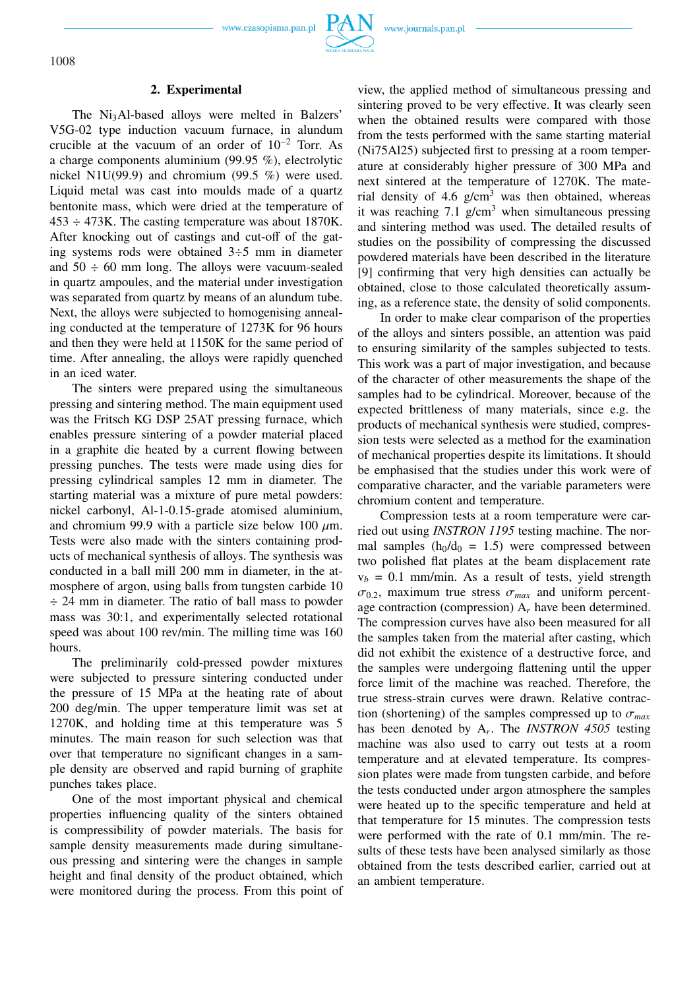www.czasopisma.pan.pl



## **2. Experimental**

The Ni<sub>3</sub>Al-based alloys were melted in Balzers' V5G-02 type induction vacuum furnace, in alundum crucible at the vacuum of an order of  $10^{-2}$  Torr. As a charge components aluminium (99.95 %), electrolytic nickel N1U(99.9) and chromium (99.5 %) were used. Liquid metal was cast into moulds made of a quartz bentonite mass, which were dried at the temperature of 453 ÷ 473K. The casting temperature was about 1870K. After knocking out of castings and cut-off of the gating systems rods were obtained 3÷5 mm in diameter and  $50 \div 60$  mm long. The alloys were vacuum-sealed in quartz ampoules, and the material under investigation was separated from quartz by means of an alundum tube. Next, the alloys were subjected to homogenising annealing conducted at the temperature of 1273K for 96 hours and then they were held at 1150K for the same period of time. After annealing, the alloys were rapidly quenched in an iced water.

The sinters were prepared using the simultaneous pressing and sintering method. The main equipment used was the Fritsch KG DSP 25AT pressing furnace, which enables pressure sintering of a powder material placed in a graphite die heated by a current flowing between pressing punches. The tests were made using dies for pressing cylindrical samples 12 mm in diameter. The starting material was a mixture of pure metal powders: nickel carbonyl, Al-1-0.15-grade atomised aluminium, and chromium 99.9 with a particle size below 100  $\mu$ m. Tests were also made with the sinters containing products of mechanical synthesis of alloys. The synthesis was conducted in a ball mill 200 mm in diameter, in the atmosphere of argon, using balls from tungsten carbide 10  $\div$  24 mm in diameter. The ratio of ball mass to powder mass was 30:1, and experimentally selected rotational speed was about 100 rev/min. The milling time was 160 hours.

The preliminarily cold-pressed powder mixtures were subjected to pressure sintering conducted under the pressure of 15 MPa at the heating rate of about 200 deg/min. The upper temperature limit was set at 1270K, and holding time at this temperature was 5 minutes. The main reason for such selection was that over that temperature no significant changes in a sample density are observed and rapid burning of graphite punches takes place.

One of the most important physical and chemical properties influencing quality of the sinters obtained is compressibility of powder materials. The basis for sample density measurements made during simultaneous pressing and sintering were the changes in sample height and final density of the product obtained, which were monitored during the process. From this point of view, the applied method of simultaneous pressing and sintering proved to be very effective. It was clearly seen when the obtained results were compared with those from the tests performed with the same starting material (Ni75Al25) subjected first to pressing at a room temperature at considerably higher pressure of 300 MPa and next sintered at the temperature of 1270K. The material density of  $4.6 \text{ g/cm}^3$  was then obtained, whereas it was reaching 7.1 g/cm<sup>3</sup> when simultaneous pressing and sintering method was used. The detailed results of studies on the possibility of compressing the discussed powdered materials have been described in the literature [9] confirming that very high densities can actually be obtained, close to those calculated theoretically assuming, as a reference state, the density of solid components.

In order to make clear comparison of the properties of the alloys and sinters possible, an attention was paid to ensuring similarity of the samples subjected to tests. This work was a part of major investigation, and because of the character of other measurements the shape of the samples had to be cylindrical. Moreover, because of the expected brittleness of many materials, since e.g. the products of mechanical synthesis were studied, compression tests were selected as a method for the examination of mechanical properties despite its limitations. It should be emphasised that the studies under this work were of comparative character, and the variable parameters were chromium content and temperature.

Compression tests at a room temperature were carried out using *INSTRON 1195* testing machine. The normal samples  $(h_0/d_0 = 1.5)$  were compressed between two polished flat plates at the beam displacement rate  $v_b = 0.1$  mm/min. As a result of tests, yield strength  $\sigma_{0.2}$ , maximum true stress  $\sigma_{max}$  and uniform percentage contraction (compression) A*<sup>r</sup>* have been determined. The compression curves have also been measured for all the samples taken from the material after casting, which did not exhibit the existence of a destructive force, and the samples were undergoing flattening until the upper force limit of the machine was reached. Therefore, the true stress-strain curves were drawn. Relative contraction (shortening) of the samples compressed up to  $\sigma_{max}$ has been denoted by A*<sup>r</sup>* . The *INSTRON 4505* testing machine was also used to carry out tests at a room temperature and at elevated temperature. Its compression plates were made from tungsten carbide, and before the tests conducted under argon atmosphere the samples were heated up to the specific temperature and held at that temperature for 15 minutes. The compression tests were performed with the rate of 0.1 mm/min. The results of these tests have been analysed similarly as those obtained from the tests described earlier, carried out at an ambient temperature.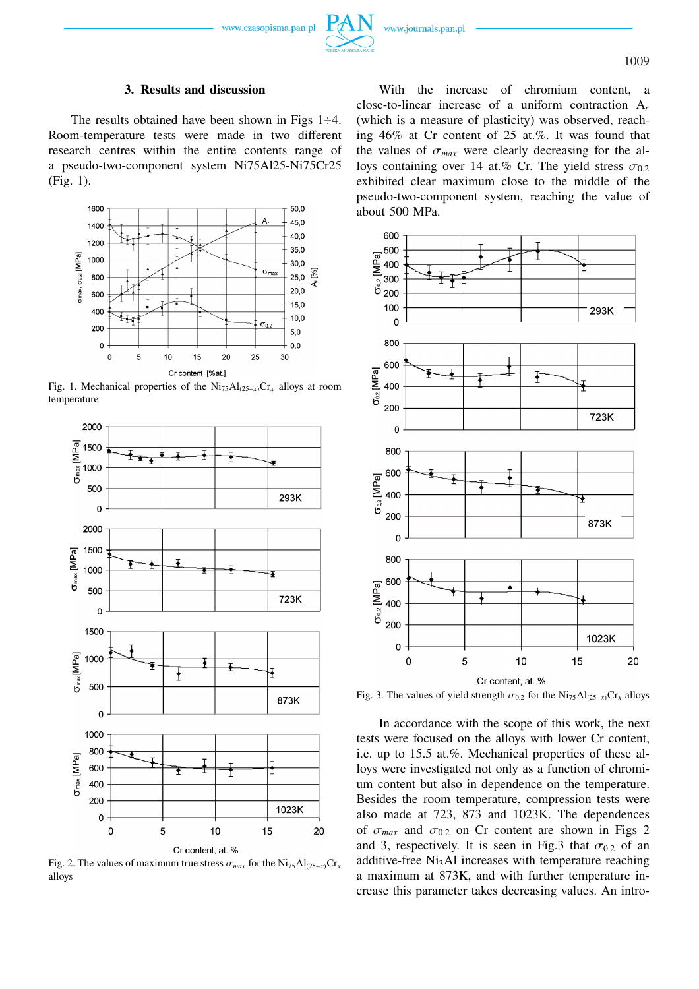## **3. Results and discussion**

The results obtained have been shown in Figs  $1\div 4$ . Room-temperature tests were made in two different research centres within the entire contents range of a pseudo-two-component system Ni75Al25-Ni75Cr25 (Fig. 1).



Fig. 1. Mechanical properties of the Ni75Al(25−*x*)Cr*<sup>x</sup>* alloys at room temperature



Fig. 2. The values of maximum true stress  $\sigma_{max}$  for the Ni<sub>75</sub>Al<sub>(25−*x*)</sub>Cr<sub>*x*</sub> alloys

With the increase of chromium content, a close-to-linear increase of a uniform contraction A*<sup>r</sup>* (which is a measure of plasticity) was observed, reaching 46% at Cr content of 25 at.%. It was found that the values of  $\sigma_{max}$  were clearly decreasing for the alloys containing over 14 at.% Cr. The yield stress  $\sigma_{0.2}$ exhibited clear maximum close to the middle of the pseudo-two-component system, reaching the value of about 500 MPa.

![](_page_2_Figure_10.jpeg)

Fig. 3. The values of yield strength  $\sigma_{0.2}$  for the Ni<sub>75</sub>Al<sub>(25−*x*)</sub>Cr<sub>*x*</sub> alloys

In accordance with the scope of this work, the next tests were focused on the alloys with lower Cr content, i.e. up to 15.5 at.%. Mechanical properties of these alloys were investigated not only as a function of chromium content but also in dependence on the temperature. Besides the room temperature, compression tests were also made at 723, 873 and 1023K. The dependences of  $\sigma_{max}$  and  $\sigma_{0.2}$  on Cr content are shown in Figs 2 and 3, respectively. It is seen in Fig.3 that  $\sigma_{0.2}$  of an additive-free  $Ni<sub>3</sub>Al$  increases with temperature reaching a maximum at 873K, and with further temperature increase this parameter takes decreasing values. An intro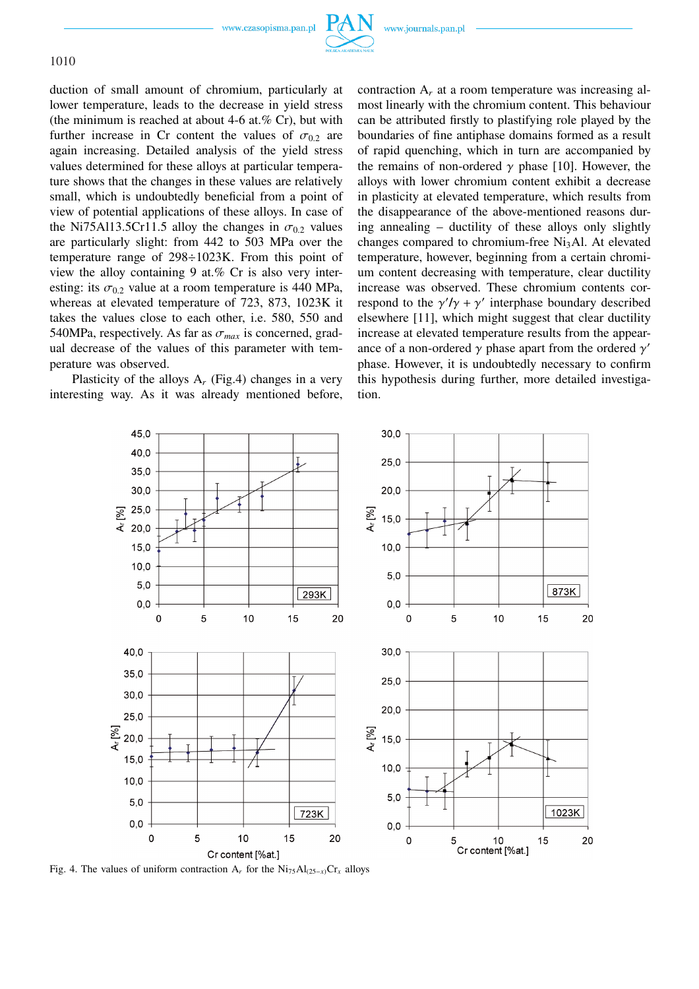www.czasopisma.pan.pl

![](_page_3_Picture_2.jpeg)

duction of small amount of chromium, particularly at lower temperature, leads to the decrease in yield stress (the minimum is reached at about 4-6 at.% Cr), but with further increase in Cr content the values of  $\sigma_{0.2}$  are again increasing. Detailed analysis of the yield stress values determined for these alloys at particular temperature shows that the changes in these values are relatively small, which is undoubtedly beneficial from a point of view of potential applications of these alloys. In case of the Ni75Al13.5Cr11.5 alloy the changes in  $\sigma_{0.2}$  values are particularly slight: from 442 to 503 MPa over the temperature range of 298÷1023K. From this point of view the alloy containing 9 at.% Cr is also very interesting: its  $\sigma_{0.2}$  value at a room temperature is 440 MPa, whereas at elevated temperature of 723, 873, 1023K it takes the values close to each other, i.e. 580, 550 and 540MPa, respectively. As far as  $\sigma_{max}$  is concerned, gradual decrease of the values of this parameter with temperature was observed.

Plasticity of the alloys  $A_r$  (Fig.4) changes in a very interesting way. As it was already mentioned before, contraction A*<sup>r</sup>* at a room temperature was increasing almost linearly with the chromium content. This behaviour can be attributed firstly to plastifying role played by the boundaries of fine antiphase domains formed as a result of rapid quenching, which in turn are accompanied by the remains of non-ordered  $\gamma$  phase [10]. However, the alloys with lower chromium content exhibit a decrease in plasticity at elevated temperature, which results from the disappearance of the above-mentioned reasons during annealing – ductility of these alloys only slightly changes compared to chromium-free  $Ni<sub>3</sub>Al$ . At elevated temperature, however, beginning from a certain chromium content decreasing with temperature, clear ductility increase was observed. These chromium contents correspond to the  $\gamma/\gamma + \gamma'$  interphase boundary described elsewhere [11], which might suggest that clear ductility increase at elevated temperature results from the appearance of a non-ordered  $\gamma$  phase apart from the ordered  $\gamma'$ phase. However, it is undoubtedly necessary to confirm this hypothesis during further, more detailed investigation.

![](_page_3_Figure_7.jpeg)

Fig. 4. The values of uniform contraction  $A_r$  for the  $Ni_{75}Al_{(25-x)}Cr_x$  alloys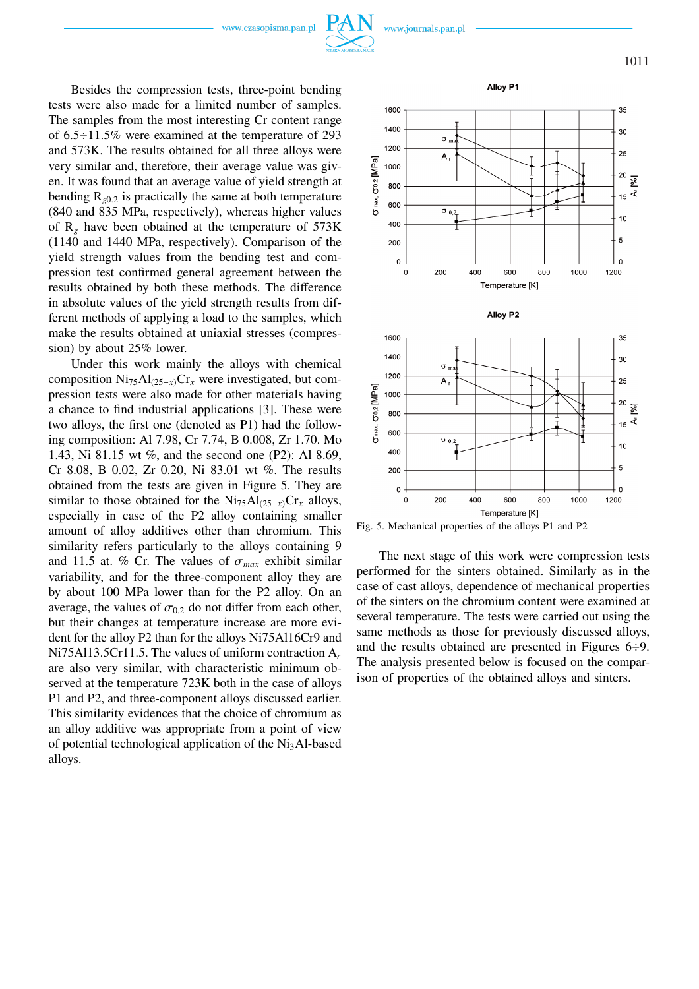www.czasopisma.pan.pl

![](_page_4_Picture_1.jpeg)

Besides the compression tests, three-point bending tests were also made for a limited number of samples. The samples from the most interesting Cr content range of 6.5÷11.5% were examined at the temperature of 293 and 573K. The results obtained for all three alloys were very similar and, therefore, their average value was given. It was found that an average value of yield strength at bending  $R_{\varrho 0.2}$  is practically the same at both temperature (840 and 835 MPa, respectively), whereas higher values of  $R_g$  have been obtained at the temperature of 573K (1140 and 1440 MPa, respectively). Comparison of the yield strength values from the bending test and compression test confirmed general agreement between the results obtained by both these methods. The difference in absolute values of the yield strength results from different methods of applying a load to the samples, which make the results obtained at uniaxial stresses (compression) by about 25% lower.

Under this work mainly the alloys with chemical composition Ni75Al(25−*x*)Cr*<sup>x</sup>* were investigated, but compression tests were also made for other materials having a chance to find industrial applications [3]. These were two alloys, the first one (denoted as P1) had the following composition: Al 7.98, Cr 7.74, B 0.008, Zr 1.70. Mo 1.43, Ni 81.15 wt %, and the second one (P2): Al 8.69, Cr 8.08, B 0.02, Zr 0.20, Ni 83.01 wt %. The results obtained from the tests are given in Figure 5. They are similar to those obtained for the Ni75Al(25−*x*)Cr*<sup>x</sup>* alloys, especially in case of the P2 alloy containing smaller amount of alloy additives other than chromium. This similarity refers particularly to the alloys containing 9 and 11.5 at. % Cr. The values of  $\sigma_{max}$  exhibit similar variability, and for the three-component alloy they are by about 100 MPa lower than for the P2 alloy. On an average, the values of  $\sigma_{0.2}$  do not differ from each other, but their changes at temperature increase are more evident for the alloy P2 than for the alloys Ni75Al16Cr9 and Ni75Al13.5Cr11.5. The values of uniform contraction A*<sup>r</sup>* are also very similar, with characteristic minimum observed at the temperature 723K both in the case of alloys P1 and P2, and three-component alloys discussed earlier. This similarity evidences that the choice of chromium as an alloy additive was appropriate from a point of view of potential technological application of the Ni3Al-based alloys.

![](_page_4_Figure_5.jpeg)

Alloy P1

Fig. 5. Mechanical properties of the alloys P1 and P2

The next stage of this work were compression tests performed for the sinters obtained. Similarly as in the case of cast alloys, dependence of mechanical properties of the sinters on the chromium content were examined at several temperature. The tests were carried out using the same methods as those for previously discussed alloys, and the results obtained are presented in Figures 6÷9. The analysis presented below is focused on the comparison of properties of the obtained alloys and sinters.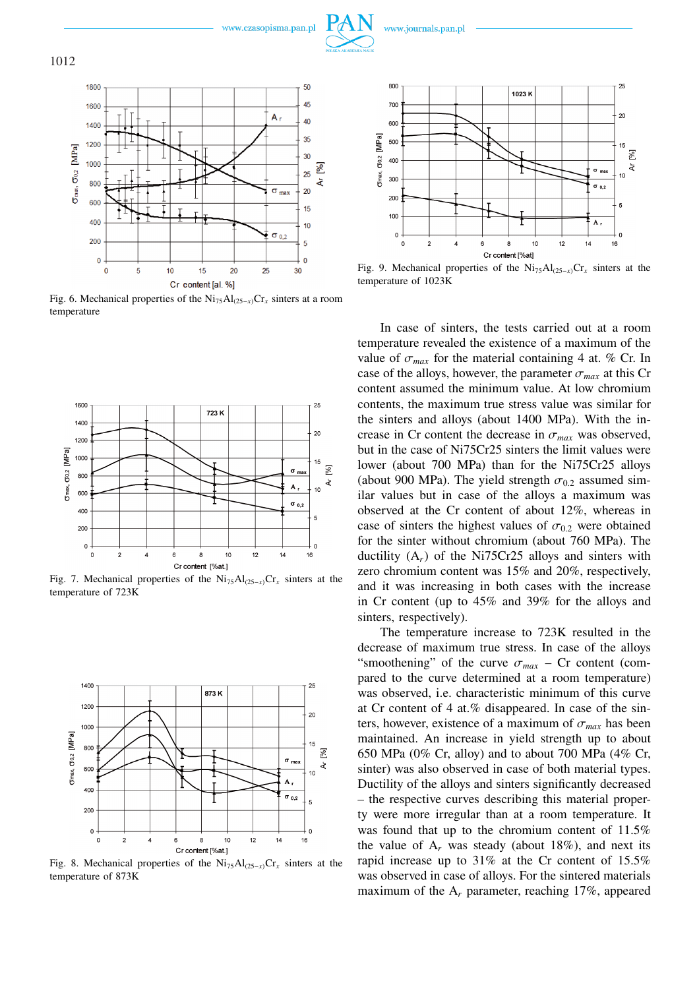![](_page_5_Picture_0.jpeg)

![](_page_5_Picture_1.jpeg)

![](_page_5_Picture_2.jpeg)

![](_page_5_Figure_4.jpeg)

Fig. 6. Mechanical properties of the Ni75Al(25−*x*)Cr*<sup>x</sup>* sinters at a room temperature

![](_page_5_Figure_6.jpeg)

Fig. 7. Mechanical properties of the  $\text{Ni}_{75}\text{Al}_{(25-x)}\text{Cr}_x$  sinters at the temperature of 723K

![](_page_5_Figure_8.jpeg)

Fig. 8. Mechanical properties of the Ni<sub>75</sub>Al<sub>(25−*x*)</sub>Cr<sub>*x*</sub> sinters at the temperature of 873K

![](_page_5_Figure_10.jpeg)

Fig. 9. Mechanical properties of the Ni75Al(25−*x*)Cr*<sup>x</sup>* sinters at the temperature of 1023K

In case of sinters, the tests carried out at a room temperature revealed the existence of a maximum of the value of  $\sigma_{max}$  for the material containing 4 at. % Cr. In case of the alloys, however, the parameter  $\sigma_{max}$  at this Cr content assumed the minimum value. At low chromium contents, the maximum true stress value was similar for the sinters and alloys (about 1400 MPa). With the increase in Cr content the decrease in  $\sigma_{max}$  was observed, but in the case of Ni75Cr25 sinters the limit values were lower (about 700 MPa) than for the Ni75Cr25 alloys (about 900 MPa). The yield strength  $\sigma_{0.2}$  assumed similar values but in case of the alloys a maximum was observed at the Cr content of about 12%, whereas in case of sinters the highest values of  $\sigma_{0.2}$  were obtained for the sinter without chromium (about 760 MPa). The ductility (A*r*) of the Ni75Cr25 alloys and sinters with zero chromium content was 15% and 20%, respectively, and it was increasing in both cases with the increase in Cr content (up to 45% and 39% for the alloys and sinters, respectively).

The temperature increase to 723K resulted in the decrease of maximum true stress. In case of the alloys "smoothening" of the curve  $\sigma_{max}$  – Cr content (compared to the curve determined at a room temperature) was observed, i.e. characteristic minimum of this curve at Cr content of 4 at.% disappeared. In case of the sinters, however, existence of a maximum of  $\sigma_{max}$  has been maintained. An increase in yield strength up to about 650 MPa (0% Cr, alloy) and to about 700 MPa (4% Cr, sinter) was also observed in case of both material types. Ductility of the alloys and sinters significantly decreased – the respective curves describing this material property were more irregular than at a room temperature. It was found that up to the chromium content of 11.5% the value of  $A_r$  was steady (about 18%), and next its rapid increase up to 31% at the Cr content of 15.5% was observed in case of alloys. For the sintered materials maximum of the A*<sup>r</sup>* parameter, reaching 17%, appeared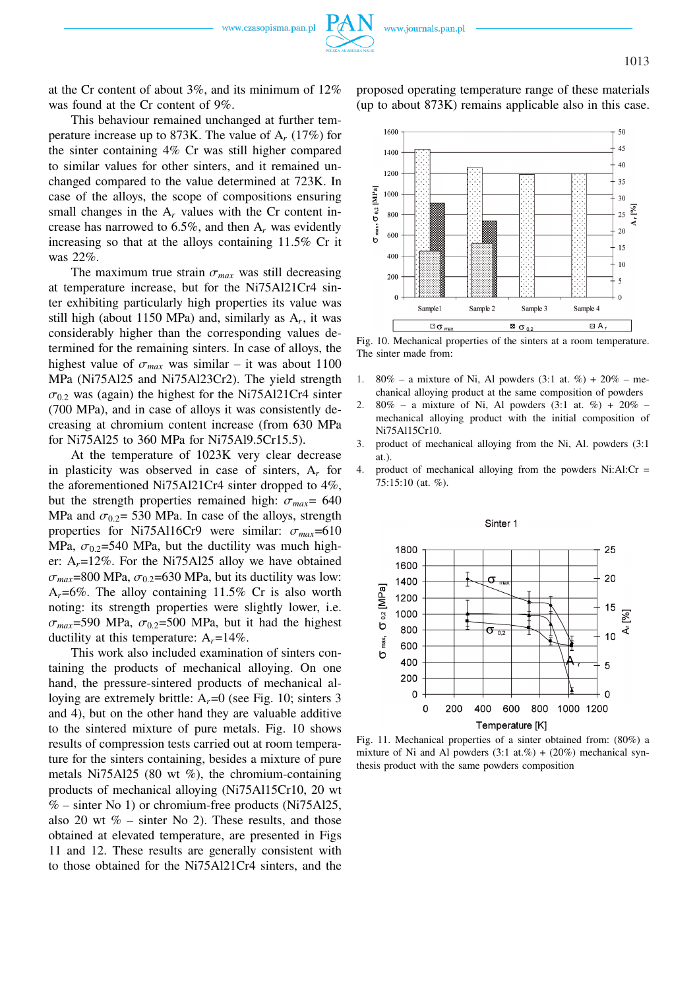![](_page_6_Picture_0.jpeg)

![](_page_6_Picture_1.jpeg)

at the Cr content of about 3%, and its minimum of 12% was found at the Cr content of 9%.

This behaviour remained unchanged at further temperature increase up to 873K. The value of A*<sup>r</sup>* (17%) for the sinter containing 4% Cr was still higher compared to similar values for other sinters, and it remained unchanged compared to the value determined at 723K. In case of the alloys, the scope of compositions ensuring small changes in the  $A_r$  values with the Cr content increase has narrowed to 6.5%, and then A*<sup>r</sup>* was evidently increasing so that at the alloys containing 11.5% Cr it was 22%.

The maximum true strain  $\sigma_{max}$  was still decreasing at temperature increase, but for the Ni75Al21Cr4 sinter exhibiting particularly high properties its value was still high (about 1150 MPa) and, similarly as A*<sup>r</sup>* , it was considerably higher than the corresponding values determined for the remaining sinters. In case of alloys, the highest value of  $\sigma_{max}$  was similar – it was about 1100 MPa (Ni75Al25 and Ni75Al23Cr2). The yield strength  $\sigma_{0.2}$  was (again) the highest for the Ni75Al21Cr4 sinter (700 MPa), and in case of alloys it was consistently decreasing at chromium content increase (from 630 MPa for Ni75Al25 to 360 MPa for Ni75Al9.5Cr15.5).

At the temperature of 1023K very clear decrease in plasticity was observed in case of sinters, A*<sup>r</sup>* for the aforementioned Ni75Al21Cr4 sinter dropped to 4%, but the strength properties remained high:  $\sigma_{max}$  = 640 MPa and  $\sigma_{0.2}$ = 530 MPa. In case of the alloys, strength properties for Ni75Al16Cr9 were similar:  $\sigma_{max}$ =610 MPa,  $\sigma_{0.2}$ =540 MPa, but the ductility was much higher:  $A_r = 12\%$ . For the Ni75Al25 alloy we have obtained  $\sigma_{max}$ =800 MPa,  $\sigma_{0.2}$ =630 MPa, but its ductility was low:  $A_r = 6\%$ . The alloy containing 11.5% Cr is also worth noting: its strength properties were slightly lower, i.e.  $\sigma_{max}$ =590 MPa,  $\sigma_{0.2}$ =500 MPa, but it had the highest ductility at this temperature:  $A_r = 14\%$ .

This work also included examination of sinters containing the products of mechanical alloying. On one hand, the pressure-sintered products of mechanical alloying are extremely brittle: A<sub>r</sub>=0 (see Fig. 10; sinters 3 and 4), but on the other hand they are valuable additive to the sintered mixture of pure metals. Fig. 10 shows results of compression tests carried out at room temperature for the sinters containing, besides a mixture of pure metals Ni75Al25 (80 wt %), the chromium-containing products of mechanical alloying (Ni75Al15Cr10, 20 wt  $%$  – sinter No 1) or chromium-free products (Ni75Al25, also 20 wt  $\%$  – sinter No 2). These results, and those obtained at elevated temperature, are presented in Figs 11 and 12. These results are generally consistent with to those obtained for the Ni75Al21Cr4 sinters, and the proposed operating temperature range of these materials (up to about 873K) remains applicable also in this case.

![](_page_6_Figure_9.jpeg)

Fig. 10. Mechanical properties of the sinters at a room temperature. The sinter made from:

- 1. 80% a mixture of Ni, Al powders  $(3.1 \text{ at. } \%) + 20\% \text{me}$ chanical alloying product at the same composition of powders
- 2.  $80\%$  a mixture of Ni, Al powders  $(3:1$  at.  $\%)$  +  $20\%$  mechanical alloying product with the initial composition of Ni75Al15Cr10.
- 3. product of mechanical alloying from the Ni, Al. powders (3:1 at.).
- 4. product of mechanical alloying from the powders  $Ni:AI:Cr =$ 75:15:10 (at. %).

![](_page_6_Figure_15.jpeg)

Fig. 11. Mechanical properties of a sinter obtained from: (80%) a mixture of Ni and Al powders  $(3:1 \text{ at. } \%) + (20\%)$  mechanical synthesis product with the same powders composition